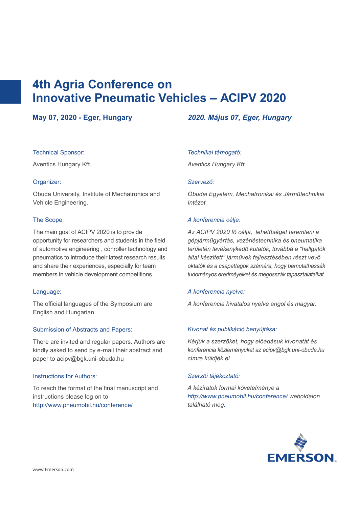# **4th Agria Conference on Innovative Pneumatic Vehicles – ACIPV 2020**

#### Technical Sponsor:

Aventics Hungary Kft.

# Organizer:

Óbuda University, Institute of Mechatronics and Vehicle Engineering.

#### The Scope:

The main goal of ACIPV 2020 is to provide opportunity for researchers and students in the field of automotive engineering , conroller technology and pneumatics to introduce their latest research results and share their experiences, especially for team members in vehicle development competitions.

# Language:

The official languages of the Symposium are English and Hungarian.

# Submission of Abstracts and Papers:

There are invited and regular papers. Authors are kindly asked to send by e-mail their abstract and paper to acipv@bgk.uni-obuda.hu

#### Instructions for Authors:

To reach the format of the final manuscript and instructions please log on to http://www.pneumobil.hu/conference/

# **May 07, 2020 - Eger, Hungary** *2020. Május 07, Eger, Hungary*

#### *Technikai támogató:*

*Aventics Hungary Kft.*

#### *Szervező:*

*Óbudai Egyetem, Mechatronikai és Járműtechnikai Intézet.* 

#### *A konferencia célja:*

*Az ACIPV 2020 fő célja, lehetőséget teremteni a gépjárműgyártás, vezérléstechnika és pneumatika területén tevékenykedő kutatók, továbbá a "hallgatók által készített" járművek fejlesztésében részt vevő oktatók és a csapattagok számára, hogy bemutathassák tudományos eredméyeiket és megosszák tapasztalataikat.* 

#### *A konferencia nyelve:*

*A konferencia hivatalos nyelve angol és magyar.* 

#### *Kivonat és publikáció benyújtása:*

*Kérjük a szerzőket, hogy előadásuk kivonatát és konferencia közleményüket az acipv@bgk.uni-obuda.hu címre küldjék el.* 

#### *Szerzői tájékoztató:*

*A kéziratok formai követelménye a http://www.pneumobil.hu/conference/ weboldalon található meg.*

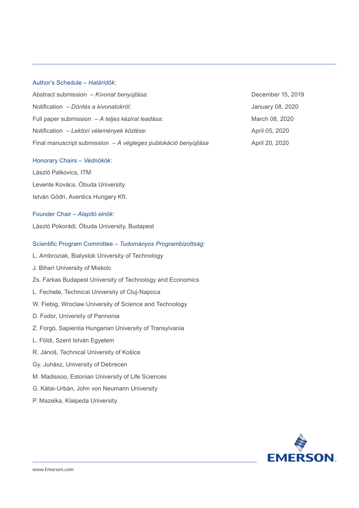## Author's Schedule – *Határidők*:

| Abstract submission – Kivonat benyújtása:                      | December 15, 2019 |
|----------------------------------------------------------------|-------------------|
| Notification - Döntés a kivonatokról:                          | January 08, 2020  |
| Full paper submission - A teljes kézirat leadása:              | March 08, 2020    |
| Notification - Lektori vélemények közlése:                     | April 05, 2020    |
| Final manuscript submission - A végleges publokáció benyújtása | April 20, 2020    |

#### Honorary Chairs – *Védnökök*:

László Palkovics, ITM

Levente Kovács, Óbuda University

István Gödri, Aventics Hungary Kft.

#### Founder Chair – *Alapító elnök*:

László Pokorádi, Óbuda University, Budapest

#### Scientific Program Committee – *Tudományos Programbizottság*:

- L. Ambroziak, Bialystok University of Technology
- J. Bihari University of Miskolc
- Zs. Farkas Budapest University of Technology and Economics
- L. Fechete, Technical University of Cluj-Napoca
- W. Fiebig, Wroclaw University of Science and Technology
- D. Fodor, University of Pannonia
- Z. Forgó, Sapientia Hungarian University of Transylvania
- L. Földi, Szent István Egyetem
- R. Jánoš, Technical University of Košice
- Gy. Juhász, University of Debrecen
- M. Madissoo, Estonian University of Life Sciences
- G. Kátai-Urbán, John von Neumann University
- P. Mazeika, Klaipeda University